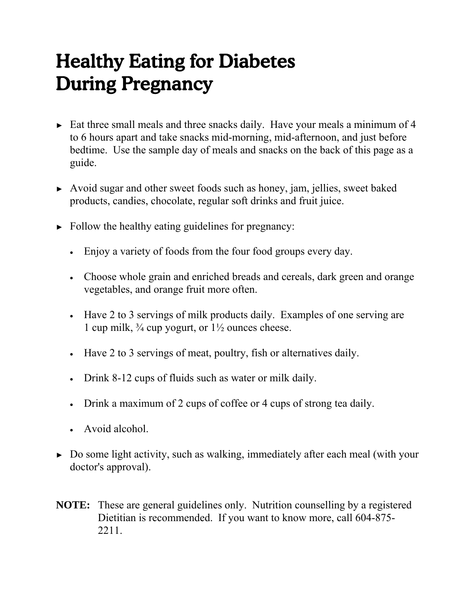# Healthy Eating for Diabetes During Pregnancy

- ► Eat three small meals and three snacks daily. Have your meals a minimum of 4 to 6 hours apart and take snacks mid-morning, mid-afternoon, and just before bedtime. Use the sample day of meals and snacks on the back of this page as a guide.
- ► Avoid sugar and other sweet foods such as honey, jam, jellies, sweet baked products, candies, chocolate, regular soft drinks and fruit juice.
- $\blacktriangleright$  Follow the healthy eating guidelines for pregnancy:
	- Enjoy a variety of foods from the four food groups every day.
	- Choose whole grain and enriched breads and cereals, dark green and orange vegetables, and orange fruit more often.
	- Have 2 to 3 servings of milk products daily. Examples of one serving are 1 cup milk,  $\frac{3}{4}$  cup yogurt, or  $1\frac{1}{2}$  ounces cheese.
	- Have 2 to 3 servings of meat, poultry, fish or alternatives daily.
	- Drink 8-12 cups of fluids such as water or milk daily.
	- Drink a maximum of 2 cups of coffee or 4 cups of strong tea daily.
	- Avoid alcohol.
- ► Do some light activity, such as walking, immediately after each meal (with your doctor's approval).
- **NOTE:** These are general guidelines only. Nutrition counselling by a registered Dietitian is recommended. If you want to know more, call 604-875- 2211.